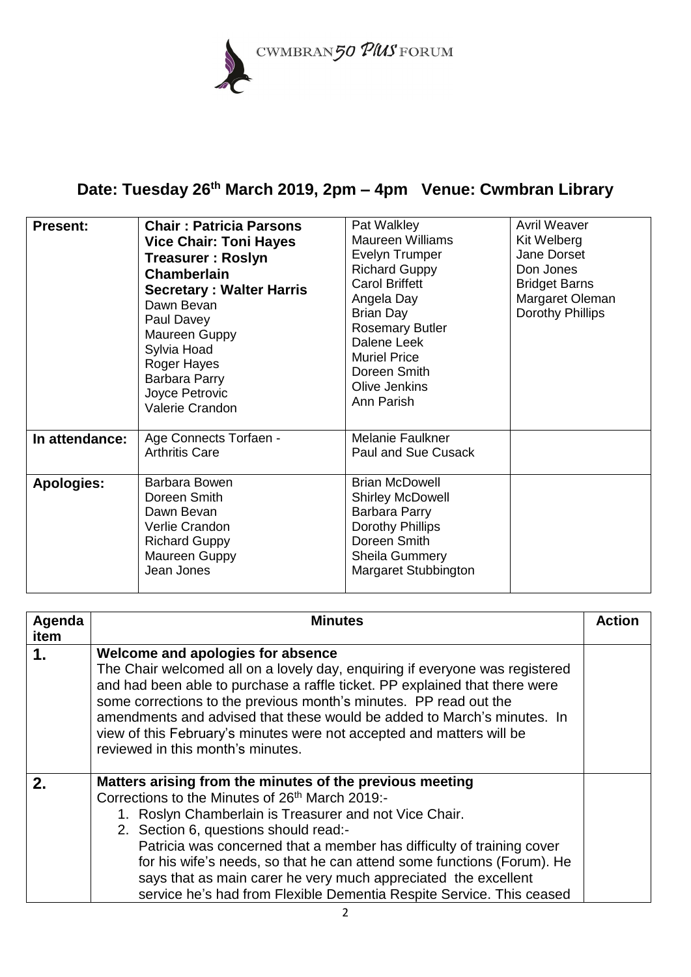

## **Date: Tuesday 26th March 2019, 2pm – 4pm Venue: Cwmbran Library**

| <b>Present:</b>   | <b>Chair: Patricia Parsons</b><br><b>Vice Chair: Toni Hayes</b><br><b>Treasurer: Roslyn</b><br>Chamberlain<br><b>Secretary: Walter Harris</b><br>Dawn Bevan<br>Paul Davey<br>Maureen Guppy<br>Sylvia Hoad<br>Roger Hayes<br>Barbara Parry<br>Joyce Petrovic<br>Valerie Crandon | Pat Walkley<br><b>Maureen Williams</b><br>Evelyn Trumper<br><b>Richard Guppy</b><br><b>Carol Briffett</b><br>Angela Day<br><b>Brian Day</b><br><b>Rosemary Butler</b><br>Dalene Leek<br><b>Muriel Price</b><br>Doreen Smith<br>Olive Jenkins<br>Ann Parish | <b>Avril Weaver</b><br>Kit Welberg<br>Jane Dorset<br>Don Jones<br><b>Bridget Barns</b><br>Margaret Oleman<br>Dorothy Phillips |
|-------------------|--------------------------------------------------------------------------------------------------------------------------------------------------------------------------------------------------------------------------------------------------------------------------------|------------------------------------------------------------------------------------------------------------------------------------------------------------------------------------------------------------------------------------------------------------|-------------------------------------------------------------------------------------------------------------------------------|
| In attendance:    | Age Connects Torfaen -<br><b>Arthritis Care</b>                                                                                                                                                                                                                                | Melanie Faulkner<br>Paul and Sue Cusack                                                                                                                                                                                                                    |                                                                                                                               |
| <b>Apologies:</b> | Barbara Bowen<br>Doreen Smith<br>Dawn Bevan<br>Verlie Crandon<br><b>Richard Guppy</b><br>Maureen Guppy<br>Jean Jones                                                                                                                                                           | <b>Brian McDowell</b><br><b>Shirley McDowell</b><br>Barbara Parry<br>Dorothy Phillips<br>Doreen Smith<br><b>Sheila Gummery</b><br>Margaret Stubbington                                                                                                     |                                                                                                                               |

| Agenda       | <b>Minutes</b>                                                                                                                                                                                                                                                                                                                                                                                                                                                                                                          | <b>Action</b> |
|--------------|-------------------------------------------------------------------------------------------------------------------------------------------------------------------------------------------------------------------------------------------------------------------------------------------------------------------------------------------------------------------------------------------------------------------------------------------------------------------------------------------------------------------------|---------------|
| item         |                                                                                                                                                                                                                                                                                                                                                                                                                                                                                                                         |               |
| 1.           | Welcome and apologies for absence<br>The Chair welcomed all on a lovely day, enquiring if everyone was registered<br>and had been able to purchase a raffle ticket. PP explained that there were<br>some corrections to the previous month's minutes. PP read out the<br>amendments and advised that these would be added to March's minutes. In<br>view of this February's minutes were not accepted and matters will be<br>reviewed in this month's minutes.                                                          |               |
| $\mathbf{2}$ | Matters arising from the minutes of the previous meeting<br>Corrections to the Minutes of 26 <sup>th</sup> March 2019:-<br>1. Roslyn Chamberlain is Treasurer and not Vice Chair.<br>2. Section 6, questions should read:-<br>Patricia was concerned that a member has difficulty of training cover<br>for his wife's needs, so that he can attend some functions (Forum). He<br>says that as main carer he very much appreciated the excellent<br>service he's had from Flexible Dementia Respite Service. This ceased |               |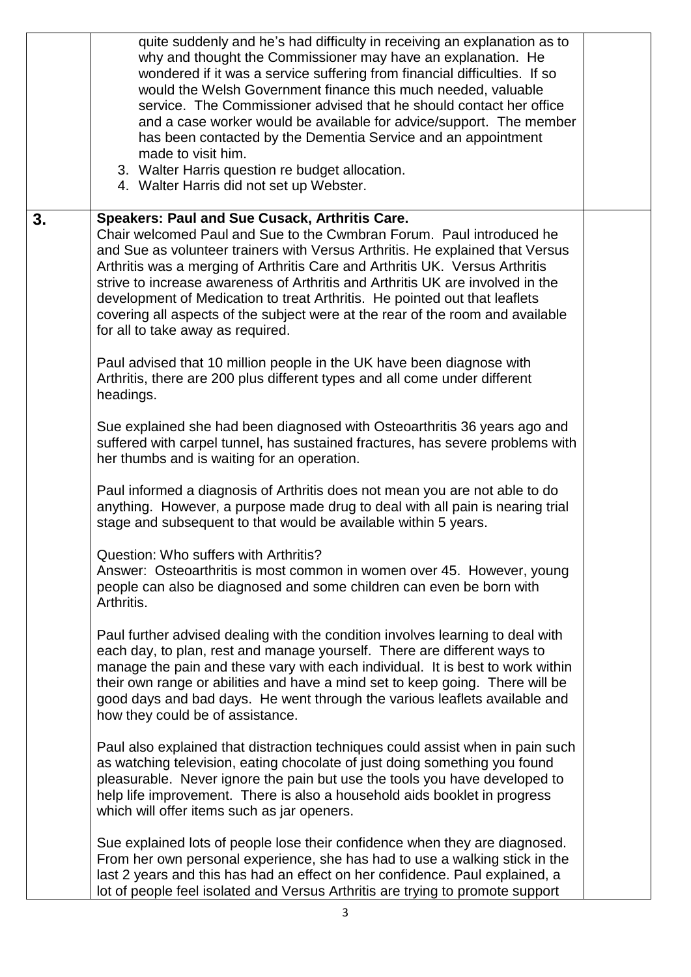|    | quite suddenly and he's had difficulty in receiving an explanation as to<br>why and thought the Commissioner may have an explanation. He<br>wondered if it was a service suffering from financial difficulties. If so<br>would the Welsh Government finance this much needed, valuable<br>service. The Commissioner advised that he should contact her office<br>and a case worker would be available for advice/support. The member<br>has been contacted by the Dementia Service and an appointment<br>made to visit him.<br>3. Walter Harris question re budget allocation.<br>4. Walter Harris did not set up Webster. |  |
|----|----------------------------------------------------------------------------------------------------------------------------------------------------------------------------------------------------------------------------------------------------------------------------------------------------------------------------------------------------------------------------------------------------------------------------------------------------------------------------------------------------------------------------------------------------------------------------------------------------------------------------|--|
| 3. | Speakers: Paul and Sue Cusack, Arthritis Care.<br>Chair welcomed Paul and Sue to the Cwmbran Forum. Paul introduced he<br>and Sue as volunteer trainers with Versus Arthritis. He explained that Versus<br>Arthritis was a merging of Arthritis Care and Arthritis UK. Versus Arthritis<br>strive to increase awareness of Arthritis and Arthritis UK are involved in the<br>development of Medication to treat Arthritis. He pointed out that leaflets<br>covering all aspects of the subject were at the rear of the room and available<br>for all to take away as required.                                             |  |
|    | Paul advised that 10 million people in the UK have been diagnose with<br>Arthritis, there are 200 plus different types and all come under different<br>headings.                                                                                                                                                                                                                                                                                                                                                                                                                                                           |  |
|    | Sue explained she had been diagnosed with Osteoarthritis 36 years ago and<br>suffered with carpel tunnel, has sustained fractures, has severe problems with<br>her thumbs and is waiting for an operation.                                                                                                                                                                                                                                                                                                                                                                                                                 |  |
|    | Paul informed a diagnosis of Arthritis does not mean you are not able to do<br>anything. However, a purpose made drug to deal with all pain is nearing trial<br>stage and subsequent to that would be available within 5 years.                                                                                                                                                                                                                                                                                                                                                                                            |  |
|    | Question: Who suffers with Arthritis?<br>Answer: Osteoarthritis is most common in women over 45. However, young<br>people can also be diagnosed and some children can even be born with<br>Arthritis.                                                                                                                                                                                                                                                                                                                                                                                                                      |  |
|    | Paul further advised dealing with the condition involves learning to deal with<br>each day, to plan, rest and manage yourself. There are different ways to<br>manage the pain and these vary with each individual. It is best to work within<br>their own range or abilities and have a mind set to keep going. There will be<br>good days and bad days. He went through the various leaflets available and<br>how they could be of assistance.                                                                                                                                                                            |  |
|    | Paul also explained that distraction techniques could assist when in pain such<br>as watching television, eating chocolate of just doing something you found<br>pleasurable. Never ignore the pain but use the tools you have developed to<br>help life improvement. There is also a household aids booklet in progress<br>which will offer items such as jar openers.                                                                                                                                                                                                                                                     |  |
|    | Sue explained lots of people lose their confidence when they are diagnosed.<br>From her own personal experience, she has had to use a walking stick in the<br>last 2 years and this has had an effect on her confidence. Paul explained, a<br>lot of people feel isolated and Versus Arthritis are trying to promote support                                                                                                                                                                                                                                                                                               |  |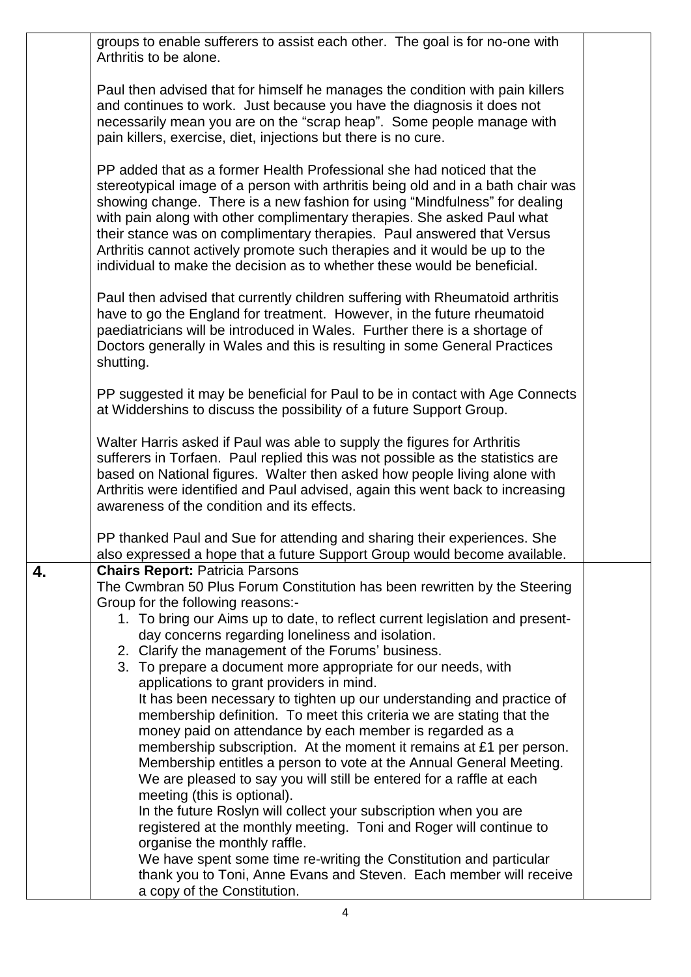|    | groups to enable sufferers to assist each other. The goal is for no-one with<br>Arthritis to be alone.                                                                                                                                                                                                                                                                                                                                                                                                                                                                                                                                                                                                                                                                                                                                                                                                                                                                                                                                                                                                                                                                                                                                                  |  |
|----|---------------------------------------------------------------------------------------------------------------------------------------------------------------------------------------------------------------------------------------------------------------------------------------------------------------------------------------------------------------------------------------------------------------------------------------------------------------------------------------------------------------------------------------------------------------------------------------------------------------------------------------------------------------------------------------------------------------------------------------------------------------------------------------------------------------------------------------------------------------------------------------------------------------------------------------------------------------------------------------------------------------------------------------------------------------------------------------------------------------------------------------------------------------------------------------------------------------------------------------------------------|--|
|    | Paul then advised that for himself he manages the condition with pain killers<br>and continues to work. Just because you have the diagnosis it does not<br>necessarily mean you are on the "scrap heap". Some people manage with<br>pain killers, exercise, diet, injections but there is no cure.                                                                                                                                                                                                                                                                                                                                                                                                                                                                                                                                                                                                                                                                                                                                                                                                                                                                                                                                                      |  |
|    | PP added that as a former Health Professional she had noticed that the<br>stereotypical image of a person with arthritis being old and in a bath chair was<br>showing change. There is a new fashion for using "Mindfulness" for dealing<br>with pain along with other complimentary therapies. She asked Paul what<br>their stance was on complimentary therapies. Paul answered that Versus<br>Arthritis cannot actively promote such therapies and it would be up to the<br>individual to make the decision as to whether these would be beneficial.                                                                                                                                                                                                                                                                                                                                                                                                                                                                                                                                                                                                                                                                                                 |  |
|    | Paul then advised that currently children suffering with Rheumatoid arthritis<br>have to go the England for treatment. However, in the future rheumatoid<br>paediatricians will be introduced in Wales. Further there is a shortage of<br>Doctors generally in Wales and this is resulting in some General Practices<br>shutting.                                                                                                                                                                                                                                                                                                                                                                                                                                                                                                                                                                                                                                                                                                                                                                                                                                                                                                                       |  |
|    | PP suggested it may be beneficial for Paul to be in contact with Age Connects<br>at Widdershins to discuss the possibility of a future Support Group.                                                                                                                                                                                                                                                                                                                                                                                                                                                                                                                                                                                                                                                                                                                                                                                                                                                                                                                                                                                                                                                                                                   |  |
|    | Walter Harris asked if Paul was able to supply the figures for Arthritis<br>sufferers in Torfaen. Paul replied this was not possible as the statistics are<br>based on National figures. Walter then asked how people living alone with<br>Arthritis were identified and Paul advised, again this went back to increasing<br>awareness of the condition and its effects.                                                                                                                                                                                                                                                                                                                                                                                                                                                                                                                                                                                                                                                                                                                                                                                                                                                                                |  |
|    | PP thanked Paul and Sue for attending and sharing their experiences. She<br>also expressed a hope that a future Support Group would become available.                                                                                                                                                                                                                                                                                                                                                                                                                                                                                                                                                                                                                                                                                                                                                                                                                                                                                                                                                                                                                                                                                                   |  |
| 4. | <b>Chairs Report: Patricia Parsons</b><br>The Cwmbran 50 Plus Forum Constitution has been rewritten by the Steering<br>Group for the following reasons:-<br>1. To bring our Aims up to date, to reflect current legislation and present-<br>day concerns regarding loneliness and isolation.<br>2. Clarify the management of the Forums' business.<br>3. To prepare a document more appropriate for our needs, with<br>applications to grant providers in mind.<br>It has been necessary to tighten up our understanding and practice of<br>membership definition. To meet this criteria we are stating that the<br>money paid on attendance by each member is regarded as a<br>membership subscription. At the moment it remains at £1 per person.<br>Membership entitles a person to vote at the Annual General Meeting.<br>We are pleased to say you will still be entered for a raffle at each<br>meeting (this is optional).<br>In the future Roslyn will collect your subscription when you are<br>registered at the monthly meeting. Toni and Roger will continue to<br>organise the monthly raffle.<br>We have spent some time re-writing the Constitution and particular<br>thank you to Toni, Anne Evans and Steven. Each member will receive |  |
|    | a copy of the Constitution.                                                                                                                                                                                                                                                                                                                                                                                                                                                                                                                                                                                                                                                                                                                                                                                                                                                                                                                                                                                                                                                                                                                                                                                                                             |  |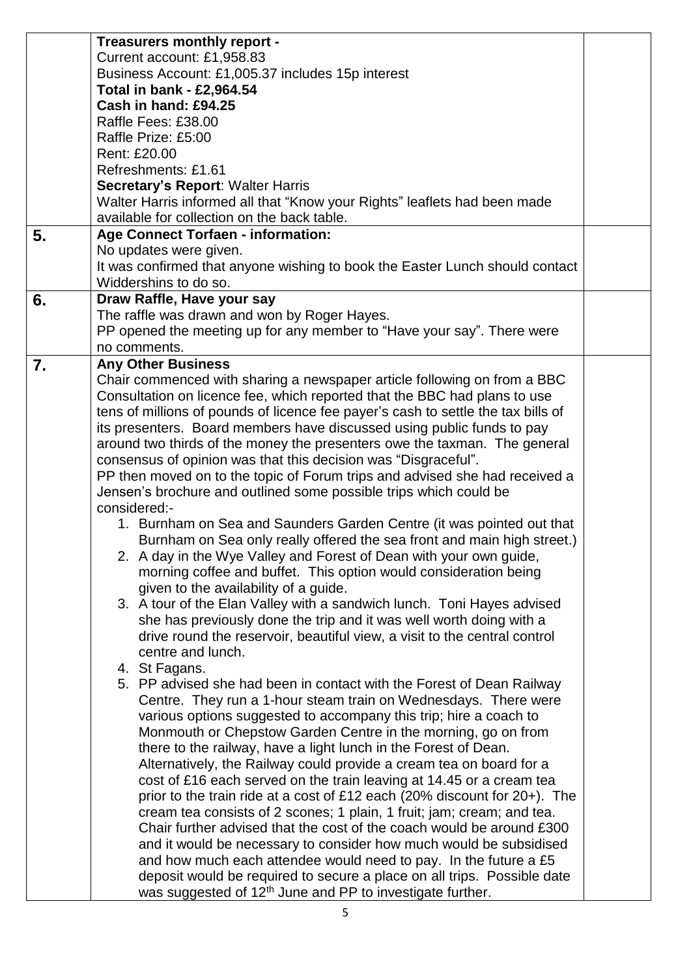|    | Treasurers monthly report -                                                       |  |
|----|-----------------------------------------------------------------------------------|--|
|    | Current account: £1,958.83                                                        |  |
|    | Business Account: £1,005.37 includes 15p interest                                 |  |
|    | Total in bank - £2,964.54                                                         |  |
|    | Cash in hand: £94.25                                                              |  |
|    | Raffle Fees: £38.00                                                               |  |
|    | Raffle Prize: £5:00                                                               |  |
|    | Rent: £20.00                                                                      |  |
|    | Refreshments: £1.61                                                               |  |
|    | <b>Secretary's Report: Walter Harris</b>                                          |  |
|    | Walter Harris informed all that "Know your Rights" leaflets had been made         |  |
|    | available for collection on the back table.                                       |  |
|    |                                                                                   |  |
| 5. | <b>Age Connect Torfaen - information:</b>                                         |  |
|    | No updates were given.                                                            |  |
|    | It was confirmed that anyone wishing to book the Easter Lunch should contact      |  |
|    | Widdershins to do so.                                                             |  |
| 6. | Draw Raffle, Have your say                                                        |  |
|    | The raffle was drawn and won by Roger Hayes.                                      |  |
|    | PP opened the meeting up for any member to "Have your say". There were            |  |
|    | no comments.                                                                      |  |
| 7. | <b>Any Other Business</b>                                                         |  |
|    | Chair commenced with sharing a newspaper article following on from a BBC          |  |
|    | Consultation on licence fee, which reported that the BBC had plans to use         |  |
|    | tens of millions of pounds of licence fee payer's cash to settle the tax bills of |  |
|    | its presenters. Board members have discussed using public funds to pay            |  |
|    | around two thirds of the money the presenters owe the taxman. The general         |  |
|    | consensus of opinion was that this decision was "Disgraceful".                    |  |
|    | PP then moved on to the topic of Forum trips and advised she had received a       |  |
|    | Jensen's brochure and outlined some possible trips which could be                 |  |
|    | considered:-                                                                      |  |
|    | 1. Burnham on Sea and Saunders Garden Centre (it was pointed out that             |  |
|    | Burnham on Sea only really offered the sea front and main high street.)           |  |
|    | 2. A day in the Wye Valley and Forest of Dean with your own guide,                |  |
|    | morning coffee and buffet. This option would consideration being                  |  |
|    | given to the availability of a guide.                                             |  |
|    | 3. A tour of the Elan Valley with a sandwich lunch. Toni Hayes advised            |  |
|    |                                                                                   |  |
|    | she has previously done the trip and it was well worth doing with a               |  |
|    | drive round the reservoir, beautiful view, a visit to the central control         |  |
|    | centre and lunch.                                                                 |  |
|    | 4. St Fagans.                                                                     |  |
|    | 5. PP advised she had been in contact with the Forest of Dean Railway             |  |
|    | Centre. They run a 1-hour steam train on Wednesdays. There were                   |  |
|    | various options suggested to accompany this trip; hire a coach to                 |  |
|    | Monmouth or Chepstow Garden Centre in the morning, go on from                     |  |
|    | there to the railway, have a light lunch in the Forest of Dean.                   |  |
|    | Alternatively, the Railway could provide a cream tea on board for a               |  |
|    | cost of £16 each served on the train leaving at 14.45 or a cream tea              |  |
|    | prior to the train ride at a cost of £12 each (20% discount for $20+$ ). The      |  |
|    | cream tea consists of 2 scones; 1 plain, 1 fruit; jam; cream; and tea.            |  |
|    | Chair further advised that the cost of the coach would be around £300             |  |
|    | and it would be necessary to consider how much would be subsidised                |  |
|    | and how much each attendee would need to pay. In the future a £5                  |  |
|    | deposit would be required to secure a place on all trips. Possible date           |  |
|    | was suggested of 12 <sup>th</sup> June and PP to investigate further.             |  |
|    |                                                                                   |  |